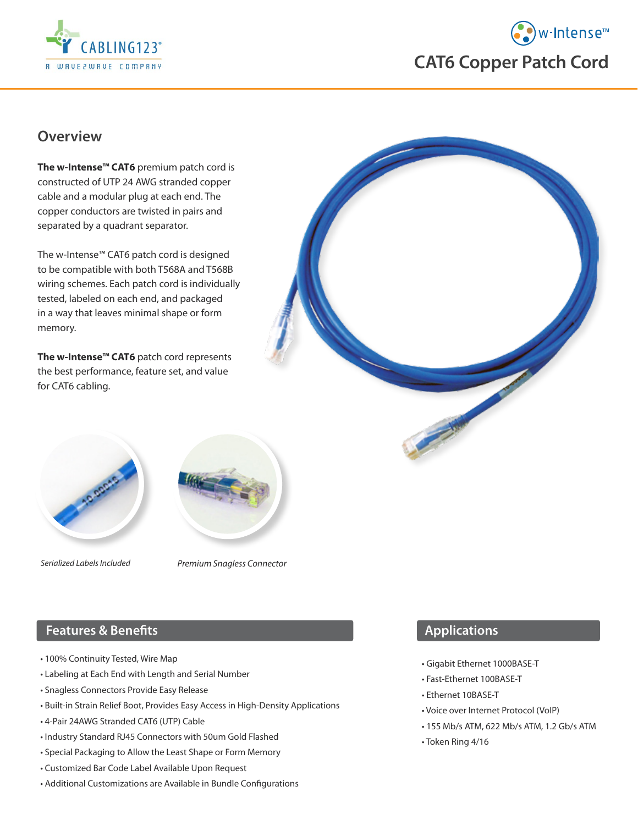



### **Overview**

**The w-Intense™ CAT6** premium patch cord is constructed of UTP 24 AWG stranded copper cable and a modular plug at each end. The copper conductors are twisted in pairs and separated by a quadrant separator.

The w-Intense™ CAT6 patch cord is designed to be compatible with both T568A and T568B wiring schemes. Each patch cord is individually tested, labeled on each end, and packaged in a way that leaves minimal shape or form memory.

**The w-Intense™ CAT6** patch cord represents the best performance, feature set, and value for CAT6 cabling.



*Serialized Labels Included Premium Snagless Connector*

## **Features & Benefits**

- 100% Continuity Tested, Wire Map
- Labeling at Each End with Length and Serial Number
- Snagless Connectors Provide Easy Release
- Built-in Strain Relief Boot, Provides Easy Access in High-Density Applications
- 4-Pair 24AWG Stranded CAT6 (UTP) Cable
- Industry Standard RJ45 Connectors with 50um Gold Flashed
- Special Packaging to Allow the Least Shape or Form Memory
- Customized Bar Code Label Available Upon Request
- Additional Customizations are Available in Bundle Configurations



#### **Applications**

- Gigabit Ethernet 1000BASE-T
- Fast-Ethernet 100BASE-T
- Ethernet 10BASE-T
- Voice over Internet Protocol (VoIP)
- 155 Mb/s ATM, 622 Mb/s ATM, 1.2 Gb/s ATM
- Token Ring 4/16